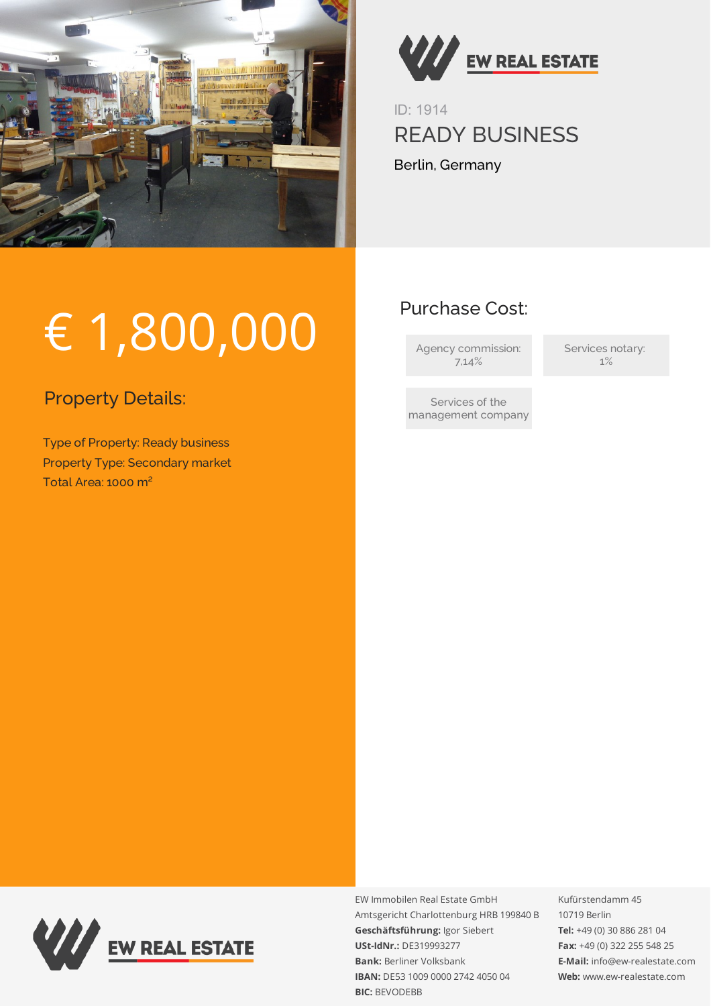

€ 1,800,000



ID: 1914 READY BUSINESS Berlin, Germany

Purchase Cost:

Agency commission: 7,14%

Services notary: 1%

Services of the management company

Property Details:

Type of Property: Ready business Property Type: Secondary market Total Area: 1000 m²



EW Immobilen Real Estate GmbH Amtsgericht Charlottenburg HRB 199840 B **Geschäftsführung:** Igor Siebert **USt-IdNr.:** DE319993277 **Bank:** Berliner Volksbank **IBAN:** DE53 1009 0000 2742 4050 04 **BIC:** BEVODEBB

Kufürstendamm 45 10719 Berlin **Tel:** +49 (0) 30 886 281 04 **Fax:** +49 (0) 322 255 548 25 **E-Mail:** info@ew-realestate.com **Web:** www.ew-realestate.com